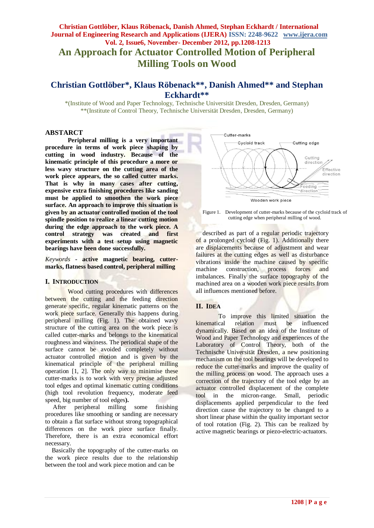# **Christian Gottlöber, Klaus Röbenack, Danish Ahmed, Stephan Eckhardt / International Journal of Engineering Research and Applications (IJERA) ISSN: 2248-9622 www.ijera.com Vol. 2, Issue6, November- December 2012, pp.1208-1213 An Approach for Actuator Controlled Motion of Peripheral Milling Tools on Wood**

# **Christian Gottlöber\* , Klaus Röbenack\*\*, Danish Ahmed\*\* and Stephan Eckhardt\*\***

\*(Institute of Wood and Paper Technology, Technische Universität Dresden, Dresden, Germany) \*\*(Institute of Control Theory, Technische Universität Dresden, Dresden, Germany)

### **ABSTARCT**

**Peripheral milling is a very important procedure in terms of work piece shaping by cutting in wood industry. Because of the kinematic principle of this procedure a more or less wavy structure on the cutting area of the work piece appears, the so called cutter marks. That is why in many cases after cutting, expensive extra finishing procedures like sanding must be applied to smoothen the work piece surface. An approach to improve this situation is given by an actuator controlled motion of the tool spindle position to realize a linear cutting motion during the edge approach to the work piece. A control strategy was created and first experiments with a test setup using magnetic bearings have been done successfully.**

*Keywords* **- active magnetic bearing, cuttermarks, flatness based control, peripheral milling**

### **I. INTRODUCTION**

Wood cutting procedures with differences between the cutting and the feeding direction generate specific, regular kinematic patterns on the work piece surface. Generally this happens during peripheral milling (Fig. 1). The obtained wavy structure of the cutting area on the work piece is called cutter-marks and belongs to the kinematical roughness and waviness. The periodical shape of the surface cannot be avoided completely without actuator controlled motion and is given by the kinematical principle of the peripheral milling operation [1, 2]. The only way to minimise these cutter-marks is to work with very precise adjusted tool edges and optimal kinematic cutting conditions (high tool revolution frequency, moderate feed speed, big number of tool edges**).**

After peripheral milling some finishing procedures like smoothing or sanding are necessary to obtain a flat surface without strong topographical differences on the work piece surface finally. Therefore, there is an extra economical effort necessary.

Basically the topography of the cutter-marks on the work piece results due to the relationship between the tool and work piece motion and can be





described as part of a regular periodic trajectory of a prolonged cycloid (Fig. 1). Additionally there are displacements because of adjustment and wear failures at the cutting edges as well as disturbance vibrations inside the machine caused by specific machine construction, process forces and imbalances. Finally the surface topography of the machined area on a wooden work piece results from all influences mentioned before.

### **II. IDEA**

To improve this limited situation the kinematical relation must be influenced dynamically. Based on an idea of the Institute of Wood and Paper Technology and experiences of the Laboratory of Control Theory, both of the Technische Universität Dresden, a new positioning mechanism on the tool bearings will be developed to reduce the cutter-marks and improve the quality of the milling process on wood. The approach uses a correction of the trajectory of the tool edge by an actuator controlled displacement of the complete tool in the micron-range. Small, periodic displacements applied perpendicular to the feed direction cause the trajectory to be changed to a short linear phase within the quality important sector of tool rotation (Fig. 2). This can be realized by active magnetic bearings or piezo-electric-actuators.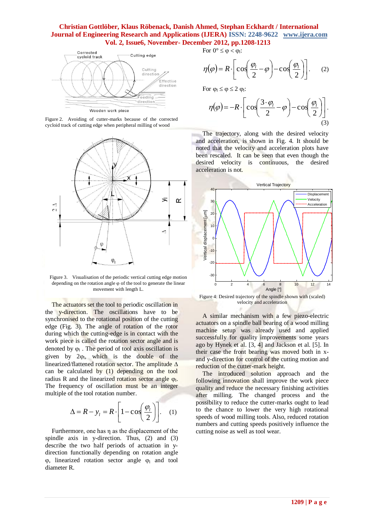

Figure 2. Avoiding of cutter-marks because of the corrected cycloid track of cutting edge when peripheral milling of wood



Figure 3. Visualisation of the periodic vertical cutting edge motion depending on the rotation angle  $\varphi$  of the tool to generate the linear movement with length L.

The actuators set the tool to periodic oscillation in the y-direction. The oscillations have to be synchronised to the rotational position of the cutting edge (Fig. 3). The angle of rotation of the rotor during which the cutting-edge is in contact with the work piece is called the rotation sector angle and is denoted by  $\varphi_1$ . The period of tool axis oscillation is given by  $2\varphi_1$ , which is the double of the linearized/flattened rotation sector. The amplitude  $\Delta$ can be calculated by (1) depending on the tool radius R and the linearized rotation sector angle  $\varphi$ . The frequency of oscillation must be an integer multiple of the tool rotation number.

$$
\Delta = R - y_l = R \cdot \left[ 1 - \cos \left( \frac{\varphi_l}{2} \right) \right]. \quad (1)
$$

Furthermore, one has η as the displacement of the spindle axis in y-direction. Thus, (2) and (3) describe the two half periods of actuation in ydirection functionally depending on rotation angle  $\varphi$ , linearized rotation sector angle  $\varphi$  and tool diameter R.

For  $0^{\circ} \leq \varphi < \varphi_1$ :

$$
\eta(\varphi) = R \cdot \left[ \cos \left( \frac{\varphi_l}{2} - \varphi \right) - \cos \left( \frac{\varphi_l}{2} \right) \right].
$$
 (2)

For  $\varphi_l \leq \varphi \leq 2 \varphi_l$ :

$$
\eta(\varphi) = -R \cdot \left[ \cos \left( \frac{3 \cdot \varphi_l}{2} - \varphi \right) - \cos \left( \frac{\varphi_l}{2} \right) \right].
$$
\n(3)

The trajectory, along with the desired velocity and acceleration, is shown in Fig. 4. It should be noted that the velocity and acceleration plots have been rescaled. It can be seen that even though the desired velocity is continuous, the desired acceleration is not.



Figure 4: Desired trajectory of the spindle shown with (scaled) velocity and acceleration

A similar mechanism with a few piezo-electric actuators on a spindle ball bearing of a wood milling machine setup was already used and applied successfully for quality improvements some years ago by Hynek et al. [3, 4] and Jackson et al. [5]. In their case the front bearing was moved both in xand y-direction for control of the cutting motion and reduction of the cutter-mark height.

The introduced solution approach and the following innovation shall improve the work piece quality and reduce the necessary finishing activities after milling. The changed process and the possibility to reduce the cutter-marks ought to lead to the chance to lower the very high rotational speeds of wood milling tools. Also, reduced rotation numbers and cutting speeds positively influence the cutting noise as well as tool wear.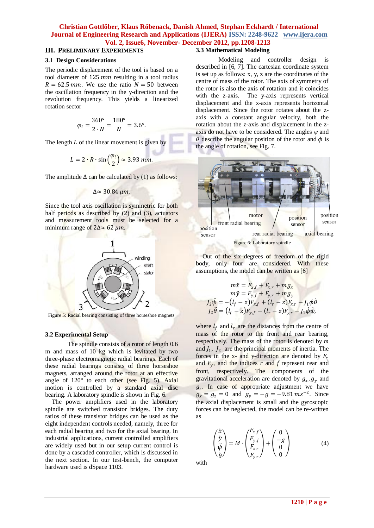# **III. PRELIMINARY EXPERIMENTS**

#### **3.1 Design Considerations**

The periodic displacement of the tool is based on a tool diameter of  $125 \, mm$  resulting in a tool radius  $R = 62.5$  mm. We use the ratio  $N = 50$  between the oscillation frequency in the y-direction and the revolution frequency. This yields a linearized rotation sector

$$
\varphi_l = \frac{360^{\circ}}{2 \cdot N} = \frac{180^{\circ}}{N} = 3.6^{\circ}.
$$

The length  $L$  of the linear movement is given by

$$
L = 2 \cdot R \cdot \sin\left(\frac{\varphi_l}{2}\right) \approx 3.93 \text{ mm}.
$$

The amplitude  $\Delta$  can be calculated by (1) as follows:

$$
\Delta \approx 30.84 \ \mu m
$$

Since the tool axis oscillation is symmetric for both half periods as described by  $(2)$  and  $(3)$ , actuators and measurement tools must be selected for a minimum range of  $2\Delta \approx 62 \mu m$ .



Figure 5: Radial bearing consisting of three horseshoe magnets

### **3.2 Experimental Setup**

The spindle consists of a rotor of length 0.6 m and mass of 10 kg which is levitated by two three-phase electromagnetic radial bearings. Each of these radial bearings consists of three horseshoe magnets, arranged around the rotor at an effective angle of 120° to each other (see Fig. 5). Axial motion is controlled by a standard axial disc bearing. A laboratory spindle is shown in Fig. 6.

The power amplifiers used in the laboratory spindle are switched transistor bridges. The duty ratios of these transistor bridges can be used as the eight independent controls needed, namely, three for each radial bearing and two for the axial bearing. In industrial applications, current controlled amplifiers are widely used but in our setup current control is done by a cascaded controller, which is discussed in the next section. In our test-bench, the computer hardware used is dSpace 1103.

# **3.3 Mathematical Modeling**

Modeling and controller design is described in [6, 7]. The cartesian coordinate system is set up as follows: x, y, z are the coordinates of the centre of mass of the rotor. The axis of symmetry of the rotor is also the axis of rotation and it coincides with the z-axis. The y-axis represents vertical displacement and the x-axis represents horizontal displacement. Since the rotor rotates about the zaxis with a constant angular velocity, both the rotation about the z-axis and displacement in the zaxis do not have to be considered. The angles *ψ* and  $\theta$  describe the angular position of the rotor and  $\phi$  is the angle of rotation, see Fig. 7.



Out of the six degrees of freedom of the rigid body, only four are considered. With these assumptions, the model can be written as [6]

$$
m\ddot{x} = F_{x,f} + F_{x,r} + mg_x
$$
  
\n
$$
m\ddot{y} = F_{y,f} + F_{y,r} + mg_y
$$
  
\n
$$
J_2\ddot{\psi} = -(l_f - z)F_{x,f} + (l_r - z)F_{x,r} - J_1\dot{\phi}\dot{\theta}
$$
  
\n
$$
J_2\ddot{\theta} = (l_f - z)F_{y,f} - (l_r - z)F_{y,r} - J_1\dot{\phi}\dot{\phi},
$$

where  $l_f$  and  $l_r$  are the distances from the centre of mass of the rotor to the front and rear bearing, respectively. The mass of the rotor is denoted by *m* and  $J_1$ ,  $J_2$  are the principal moments of inertia. The forces in the x- and y-direction are denoted by  $F_x$ and  $F_y$ , and the indices  $r$  and  $f$  represent rear and front, respectively. The components of the gravitational acceleration are denoted by  $g_x$ ,  $g_y$  and  $g_z$ . In case of appropriate adjustment we have  $g_x = g_z = 0$  and  $g_y = -g = -9.81 \text{ ms}^{-2}$ . Since the axial displacement is small and the gyroscopic forces can be neglected, the model can be re-written as

$$
\begin{pmatrix} \ddot{x} \\ \ddot{y} \\ \ddot{\psi} \\ \ddot{\theta} \end{pmatrix} = M \cdot \begin{pmatrix} F_{x,f} \\ F_{y,f} \\ F_{x,r} \\ F_{y,r} \end{pmatrix} + \begin{pmatrix} 0 \\ -g \\ 0 \\ 0 \end{pmatrix}
$$
(4)

with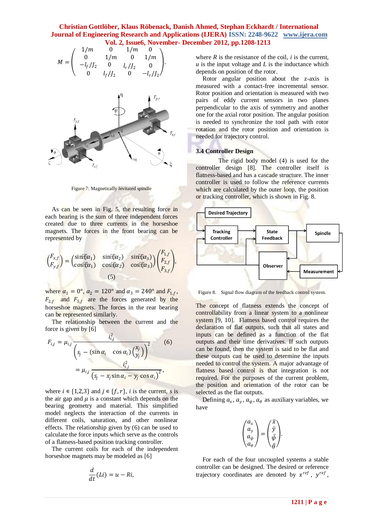



Figure 7: Magnetically levitated spindle

As can be seen in Fig. 5, the resulting force in each bearing is the sum of three independent forces created due to three currents in the horseshoe magnets. The forces in the front bearing can be represented by

$$
\begin{pmatrix} F_{x,f} \\ F_{y,f} \end{pmatrix} = \begin{pmatrix} \sin(\alpha_1) & \sin(\alpha_2) & \sin(\alpha_3) \\ \cos(\alpha_1) & \cos(\alpha_2) & \cos(\alpha_3) \end{pmatrix} \begin{pmatrix} F_{1,f} \\ F_{2,f} \\ F_{3,f} \end{pmatrix},
$$
\n(5)

where  $\alpha_1 = 0^\circ$ ,  $\alpha_2 = 120^\circ$  and  $\alpha_3 = 240^\circ$  and  $F_{1,f}$ ,  $F_{2,f}$  and  $F_{3,f}$  are the forces generated by the horseshoe magnets. The forces in the rear bearing can be represented similarly.

The relationship between the current and the force is given by  $[6]$ 

$$
F_{i,j} = \mu_{i,j} \frac{i_{i,j}^2}{\left(s_j - (\sin \alpha_i \cos \alpha_i) \left(\frac{x_j}{y_j}\right)\right)^2}
$$
(6)  
= 
$$
\mu_{i,j} \frac{i_{i,j}^2}{\left(s_j - x_j \sin \alpha_i - y_j \cos \alpha_i\right)^2}
$$
,

where  $i \in \{1,2,3\}$  and  $j \in \{f, r\}$ , *i* is the current, *s* is the air gap and  $\mu$  is a constant which depends on the bearing geometry and material. This simplified model neglects the interaction of the currents in different coils, saturation, and other nonlinear effects. The relationship given by (6) can be used to calculate the force inputs which serve as the controls of a flatness-based position tracking controller.

The current coils for each of the independent horseshoe magnets may be modeled as [6]

$$
\frac{d}{dt}(Li) = u - Ri,
$$

where  $R$  is the resistance of the coil,  $i$  is the current, *u* is the input voltage and *L* is the inductance which depends on position of the rotor.

Rotor angular position about the z-axis is measured with a contact-free incremental sensor. Rotor position and orientation is measured with two pairs of eddy current sensors in two planes perpendicular to the axis of symmetry and another one for the axial rotor position. The angular position is needed to synchronize the tool path with rotor rotation and the rotor position and orientation is needed for trajectory control.

### **3.4 Controller Design**

The rigid body model (4) is used for the controller design [8]. The controller itself is flatness-based and has a cascade structure. The inner controller is used to follow the reference currents which are calculated by the outer loop, the position or tracking controller, which is shown in Fig. 8.



Figure 8. Signal flow diagram of the feedback control system.

The concept of flatness extends the concept of controllability from a linear system to a nonlinear system [9, 10]. Flatness based control requires the declaration of flat outputs, such that all states and inputs can be defined as a function of the flat outputs and their time derivatives. If such outputs can be found, then the system is said to be flat and these outputs can be used to determine the inputs needed to control the system. A major advantage of flatness based control is that integration is not required. For the purposes of the current problem, the position and orientation of the rotor can be selected as the flat outputs.

Defining  $a_x$ ,  $a_y$ ,  $a_\theta$  as auxiliary variables, we have

$$
\begin{pmatrix} a_x \\ a_y \\ a_\psi \\ a_\theta \end{pmatrix} = \begin{pmatrix} \ddot{x} \\ \ddot{y} \\ \ddot{\psi} \\ \ddot{\theta} \end{pmatrix}.
$$

For each of the four uncoupled systems a stable controller can be designed. The desired or reference trajectory coordinates are denoted by  $x^{ref}$ ,  $y^{ref}$ ,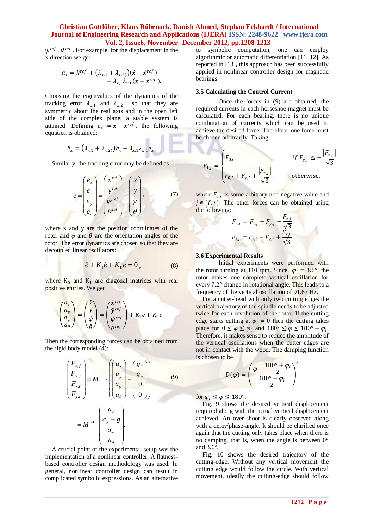$\psi^{ref}$ ,  $\theta^{ref}$ . For example, for the displacement in the x direction we get

$$
a_x = \ddot{x}^{ref} + (\lambda_{x,1} + \lambda_{x,2})(\dot{x} - \dot{x}^{ref}) - \lambda_{x,1}\lambda_{x,1}(x - x^{ref}).
$$

Choosing the eigenvalues of the dynamics of the tracking error  $\lambda_{x,1}$  and  $\lambda_{x,2}$  so that they are symmetric about the real axis and in the open left side of the complex plane, a stable system is attained. Defining  $e_x := x - x^{ref}$ , the following equation is obtained:

$$
\ddot{e}_x = (\lambda_{x,1} + \lambda_{x,2}) \dot{e}_x - \lambda_{x,1} \lambda_{x,1} e_x.
$$

Similarly, the tracking error may be defined as

$$
e = \begin{pmatrix} e_x \\ e_y \\ e_y \\ e_\theta \end{pmatrix} = \begin{pmatrix} x^{ref} \\ y^{ref} \\ y^{ref} \\ \theta^{ref} \end{pmatrix} - \begin{pmatrix} x \\ y \\ y \\ \theta \end{pmatrix}, \qquad (7)
$$

where x and y are the position coordinates of the rotor and  $\psi$  and  $\theta$  are the orientation angles of the rotor. The error dynamics are chosen so that they are decoupled linear oscillators:

$$
\ddot{e} + K_1 \dot{e} + K_0 e = 0, \qquad (8)
$$

where  $K_0$  and  $K_1$  are diagonal matrices with real positive entries. We get

$$
\begin{pmatrix} a_x \\ a_y \\ a_\theta \end{pmatrix} = \begin{pmatrix} \ddot{x} \\ \ddot{y} \\ \ddot{\psi} \\ \ddot{\theta} \end{pmatrix} = \begin{pmatrix} \ddot{x}^{ref} \\ \ddot{y}^{ref} \\ \ddot{\psi}^{ref} \end{pmatrix} + K_1 \dot{e} + K_0 e.
$$

Then the corresponding forces can be obtained from the rigid body model (4):

$$
\begin{pmatrix}\nF_{x,f} \\
F_{y,f} \\
F_{x,r} \\
F_{y,r}\n\end{pmatrix} = M^{-1} \cdot \begin{pmatrix}\na_x \\
a_y \\
a_y \\
a_\theta\n\end{pmatrix} - \begin{pmatrix}\ng_x \\
g_y \\
0 \\
0\n\end{pmatrix}
$$
\n(9)\n
$$
= M^{-1} \cdot \begin{pmatrix}\na_x \\
a_y + g \\
a_\theta \\
a_\theta\n\end{pmatrix}.
$$

A crucial point of the experimental setup was the implementation of a nonlinear controller. A flatnessbased controller design methodology was used. In general, nonlinear controller design can result in complicated symbolic expressions. As an alternative to symbolic computation, one can employ algorithmic or automatic differentiation [11, 12]. As reported in [13], this approach has been successfully applied in nonlinear controller design for magnetic bearings.

### **3.5 Calculating the Control Current**

Once the forces in (9) are obtained, the required currents in each horseshoe magnet must be calculated. For each bearing, there is no unique combination of currents which can be used to achieve the desired force. Therefore, one force must be chosen arbitrarily. Taking

$$
F_{1,j} = \begin{cases} F_{0,j} & \text{if } F_{y,j} \le -\frac{|F_{x,j}|}{\sqrt{3}} \\ F_{0,j} + F_{y,j} + \frac{|F_{x,j}|}{\sqrt{3}} \end{cases}
$$
otherwise,

where  $F_{0,j}$  is some arbitrary non-negative value and  $j \in \{f, r\}$ . The other forces can be obtained using the following:

$$
F_{2,j} = F_{1,j} - F_{y,j} - \frac{F_{x,j}}{\sqrt{3}}
$$

$$
F_{3,j} = F_{1,j} - F_{y,j} + \frac{F_{x,j}}{\sqrt{3}}.
$$

### **3.6 Experimental Results**

Initial experiments were performed with the rotor turning at 110 rpm. Since  $\varphi_l = 3.6^\circ$ , the rotor makes one complete vertical oscillation for every 7.2° change in rotational angle. This leads to a frequency of the vertical oscillation of 91.67 Hz.

For a cutter-head with only two cutting edges the vertical trajectory of the spindle needs to be adjusted twice for each revolution of the rotor. If the cutting edge starts cutting at  $\varphi_l = 0$  then the cutting takes place for  $0 \le \varphi \le \varphi_l$  and  $180^\circ \le \varphi \le 180^\circ + \varphi_l$ . Therefore, it makes sense to reduce the amplitude of the vertical oscillations when the cutter edges are not in contact with the wood. The damping function is chosen to be

$$
D(\varphi) = \left(\frac{\varphi - \frac{180^\circ + \varphi_l}{2}}{\frac{180^\circ - \varphi_l}{2}}\right)^8
$$

for  $\varphi_l \leq \varphi \leq 180^\circ$ .

Fig. 9 shows the desired vertical displacement required along with the actual vertical displacement achieved. An over-shoot is clearly observed along with a delay/phase-angle. It should be clarified once again that the cutting only takes place when there is no damping, that is, when the angle is between 0° and 3.6°.

Fig. 10 shows the desired trajectory of the cutting-edge. Without any vertical movement the cutting edge would follow the circle. With vertical movement, ideally the cutting-edge should follow